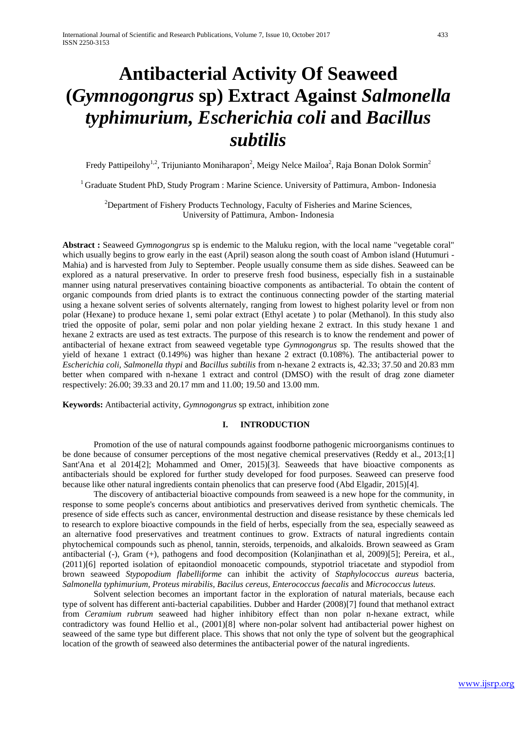# **Antibacterial Activity Of Seaweed (***Gymnogongrus* **sp) Extract Against** *Salmonella typhimurium, Escherichia coli* **and** *Bacillus subtilis*

Fredy Pattipeilohy<sup>1,2</sup>, Trijunianto Moniharapon<sup>2</sup>, Meigy Nelce Mailoa<sup>2</sup>, Raja Bonan Dolok Sormin<sup>2</sup>

<sup>1</sup> Graduate Student PhD, Study Program : Marine Science. University of Pattimura, Ambon- Indonesia

 $2$ Department of Fishery Products Technology, Faculty of Fisheries and Marine Sciences, University of Pattimura, Ambon- Indonesia

**Abstract :** Seaweed *Gymnogongrus* sp is endemic to the Maluku region, with the local name "vegetable coral" which usually begins to grow early in the east (April) season along the south coast of Ambon island (Hutumuri -Mahia) and is harvested from July to September. People usually consume them as side dishes. Seaweed can be explored as a natural preservative. In order to preserve fresh food business, especially fish in a sustainable manner using natural preservatives containing bioactive components as antibacterial. To obtain the content of organic compounds from dried plants is to extract the continuous connecting powder of the starting material using a hexane solvent series of solvents alternately, ranging from lowest to highest polarity level or from non polar (Hexane) to produce hexane 1, semi polar extract (Ethyl acetate ) to polar (Methanol). In this study also tried the opposite of polar, semi polar and non polar yielding hexane 2 extract. In this study hexane 1 and hexane 2 extracts are used as test extracts. The purpose of this research is to know the rendement and power of antibacterial of hexane extract from seaweed vegetable type *Gymnogongrus* sp. The results showed that the yield of hexane 1 extract (0.149%) was higher than hexane 2 extract (0.108%). The antibacterial power to *Escherichia coli, Salmonella thypi* and *Bacillus subtilis* from n-hexane 2 extracts is, 42.33; 37.50 and 20.83 mm better when compared with n-hexane 1 extract and control (DMSO) with the result of drag zone diameter respectively: 26.00; 39.33 and 20.17 mm and 11.00; 19.50 and 13.00 mm.

**Keywords:** Antibacterial activity, *Gymnogongrus* sp extract, inhibition zone

## **I. INTRODUCTION**

Promotion of the use of natural compounds against foodborne pathogenic microorganisms continues to be done because of consumer perceptions of the most negative chemical preservatives (Reddy et al., 2013;[1] Sant'Ana et al 2014[2]; Mohammed and Omer, 2015)[3]. Seaweeds that have bioactive components as antibacterials should be explored for further study developed for food purposes. Seaweed can preserve food because like other natural ingredients contain phenolics that can preserve food (Abd Elgadir, 2015)[4].

The discovery of antibacterial bioactive compounds from seaweed is a new hope for the community, in response to some people's concerns about antibiotics and preservatives derived from synthetic chemicals. The presence of side effects such as cancer, environmental destruction and disease resistance by these chemicals led to research to explore bioactive compounds in the field of herbs, especially from the sea, especially seaweed as an alternative food preservatives and treatment continues to grow. Extracts of natural ingredients contain phytochemical compounds such as phenol, tannin, steroids, terpenoids, and alkaloids. Brown seaweed as Gram antibacterial (-), Gram (+), pathogens and food decomposition (Kolanjinathan et al, 2009)[5]; Pereira, et al., (2011)[6] reported isolation of epitaondiol monoacetic compounds, stypotriol triacetate and stypodiol from brown seaweed *Stypopodium flabelliforme* can inhibit the activity of *Staphylococcus aureus* bacteria, *Salmonella typhimurium, Proteus mirabilis, Bacilus cereus, Enterococcus faecalis* and *Micrococcus luteus.*

Solvent selection becomes an important factor in the exploration of natural materials, because each type of solvent has different anti-bacterial capabilities. Dubber and Harder (2008)[7] found that methanol extract from *Ceramium rubrum* seaweed had higher inhibitory effect than non polar n-hexane extract, while contradictory was found Hellio et al., (2001)[8] where non-polar solvent had antibacterial power highest on seaweed of the same type but different place. This shows that not only the type of solvent but the geographical location of the growth of seaweed also determines the antibacterial power of the natural ingredients.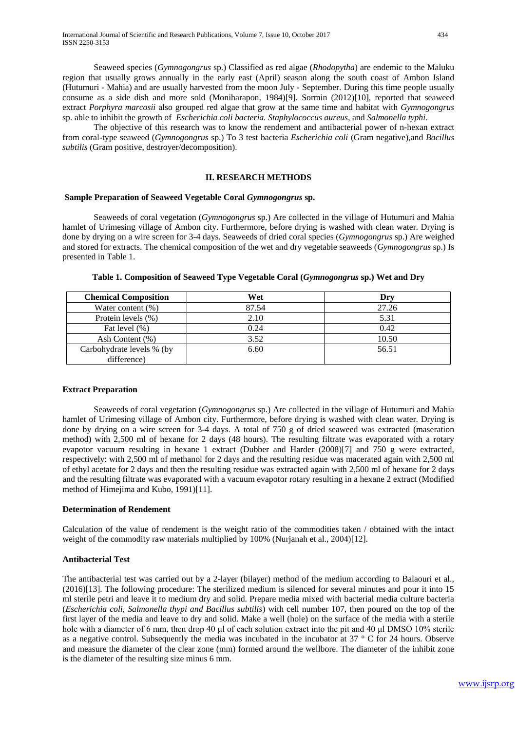Seaweed species (*Gymnogongrus* sp.) Classified as red algae (*Rhodopytha*) are endemic to the Maluku region that usually grows annually in the early east (April) season along the south coast of Ambon Island (Hutumuri - Mahia) and are usually harvested from the moon July - September. During this time people usually consume as a side dish and more sold (Moniharapon, 1984)[9]. Sormin (2012)[10], reported that seaweed extract *Porphyra marcosii* also grouped red algae that grow at the same time and habitat with *Gymnogongrus* sp. able to inhibit the growth of *Escherichia coli bacteria. Staphylococcus aureus,* and *Salmonella typhi*.

The objective of this research was to know the rendement and antibacterial power of n-hexan extract from coral-type seaweed (*Gymnogongrus* sp.) To 3 test bacteria *Escherichia coli* (Gram negative)*,*and *Bacillus subtilis* (Gram positive, destroyer/decomposition).

#### **II. RESEARCH METHODS**

## **Sample Preparation of Seaweed Vegetable Coral** *Gymnogongrus* **sp.**

Seaweeds of coral vegetation (*Gymnogongrus* sp.) Are collected in the village of Hutumuri and Mahia hamlet of Urimesing village of Ambon city. Furthermore, before drying is washed with clean water. Drying is done by drying on a wire screen for 3-4 days. Seaweeds of dried coral species (*Gymnogongrus* sp.) Are weighed and stored for extracts. The chemical composition of the wet and dry vegetable seaweeds (*Gymnogongrus* sp.) Is presented in Table 1.

| <b>Chemical Composition</b> | Wet   | Drv   |
|-----------------------------|-------|-------|
| Water content $(\%)$        | 87.54 | 27.26 |
| Protein levels (%)          | 2.10  | 5.31  |
| Fat level (%)               | 0.24  | 0.42  |
| Ash Content (%)             | 3.52  | 10.50 |
| Carbohydrate levels % (by   | 6.60  | 56.51 |
| difference)                 |       |       |

**Table 1. Composition of Seaweed Type Vegetable Coral (***Gymnogongrus* **sp.) Wet and Dry**

## **Extract Preparation**

Seaweeds of coral vegetation (*Gymnogongrus* sp.) Are collected in the village of Hutumuri and Mahia hamlet of Urimesing village of Ambon city. Furthermore, before drying is washed with clean water. Drying is done by drying on a wire screen for 3-4 days. A total of 750 g of dried seaweed was extracted (maseration method) with 2,500 ml of hexane for 2 days (48 hours). The resulting filtrate was evaporated with a rotary evapotor vacuum resulting in hexane 1 extract (Dubber and Harder (2008)[7] and 750 g were extracted, respectively: with 2,500 ml of methanol for 2 days and the resulting residue was macerated again with 2,500 ml of ethyl acetate for 2 days and then the resulting residue was extracted again with 2,500 ml of hexane for 2 days and the resulting filtrate was evaporated with a vacuum evapotor rotary resulting in a hexane 2 extract (Modified method of Himejima and Kubo, 1991)[11].

## **Determination of Rendement**

Calculation of the value of rendement is the weight ratio of the commodities taken / obtained with the intact weight of the commodity raw materials multiplied by 100% (Nurjanah et al., 2004)[12].

## **Antibacterial Test**

The antibacterial test was carried out by a 2-layer (bilayer) method of the medium according to Balaouri et al., (2016)[13]. The following procedure: The sterilized medium is silenced for several minutes and pour it into 15 ml sterile petri and leave it to medium dry and solid. Prepare media mixed with bacterial media culture bacteria (*Escherichia coli, Salmonella thypi and Bacillus subtilis*) with cell number 107, then poured on the top of the first layer of the media and leave to dry and solid. Make a well (hole) on the surface of the media with a sterile hole with a diameter of 6 mm, then drop 40 μl of each solution extract into the pit and 40 μl DMSO 10% sterile as a negative control. Subsequently the media was incubated in the incubator at 37 ° C for 24 hours. Observe and measure the diameter of the clear zone (mm) formed around the wellbore. The diameter of the inhibit zone is the diameter of the resulting size minus 6 mm.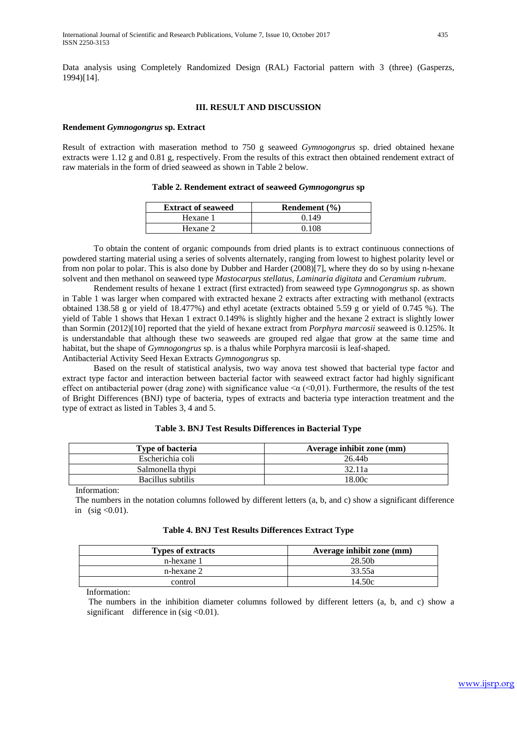#### **III. RESULT AND DISCUSSION**

#### **Rendement** *Gymnogongrus* **sp. Extract**

Result of extraction with maseration method to 750 g seaweed *Gymnogongrus* sp. dried obtained hexane extracts were 1.12 g and 0.81 g, respectively. From the results of this extract then obtained rendement extract of raw materials in the form of dried seaweed as shown in Table 2 below.

|  |  | Table 2. Rendement extract of seaweed Gymnogongrus sp |  |  |  |  |  |  |
|--|--|-------------------------------------------------------|--|--|--|--|--|--|
|--|--|-------------------------------------------------------|--|--|--|--|--|--|

| <b>Extract of seaweed</b> | Rendement $(\% )$ |
|---------------------------|-------------------|
| Hexane 1                  | 0.149             |
| Hexane 2                  | 0.108             |

To obtain the content of organic compounds from dried plants is to extract continuous connections of powdered starting material using a series of solvents alternately, ranging from lowest to highest polarity level or from non polar to polar. This is also done by Dubber and Harder (2008)[7], where they do so by using n-hexane solvent and then methanol on seaweed type *Mastocarpus stellatus, Laminaria digitata* and *Ceramium rubrum*.

Rendement results of hexane 1 extract (first extracted) from seaweed type *Gymnogongrus* sp. as shown in Table 1 was larger when compared with extracted hexane 2 extracts after extracting with methanol (extracts obtained 138.58 g or yield of 18.477%) and ethyl acetate (extracts obtained 5.59 g or yield of 0.745 %). The yield of Table 1 shows that Hexan 1 extract 0.149% is slightly higher and the hexane 2 extract is slightly lower than Sormin (2012)[10] reported that the yield of hexane extract from *Porphyra marcosii* seaweed is 0.125%. It is understandable that although these two seaweeds are grouped red algae that grow at the same time and habitat, but the shape of *Gymnogongrus* sp. is a thalus while Porphyra marcosii is leaf-shaped. Antibacterial Activity Seed Hexan Extracts *Gymnogongrus* sp.

Based on the result of statistical analysis, two way anova test showed that bacterial type factor and extract type factor and interaction between bacterial factor with seaweed extract factor had highly significant effect on antibacterial power (drag zone) with significance value  $\alpha$  ( $\alpha$ ,01). Furthermore, the results of the test of Bright Differences (BNJ) type of bacteria, types of extracts and bacteria type interaction treatment and the type of extract as listed in Tables 3, 4 and 5.

| <b>Type of bacteria</b> | Average inhibit zone (mm) |
|-------------------------|---------------------------|
| Escherichia coli        | 26.44b                    |
| Salmonella thypi        | 32.11a                    |
| Bacillus subtilis       | 18.00c                    |

#### **Table 3. BNJ Test Results Differences in Bacterial Type**

Information:

 The numbers in the notation columns followed by different letters (a, b, and c) show a significant difference in  $(sig < 0.01)$ .

|  | Table 4. BNJ Test Results Differences Extract Type |  |  |  |
|--|----------------------------------------------------|--|--|--|
|--|----------------------------------------------------|--|--|--|

| <b>Types of extracts</b> | Average inhibit zone (mm) |
|--------------------------|---------------------------|
| n-hexane 1               | 28.50 <sub>b</sub>        |
| n-hexane 2               | 33.55a                    |
| control                  | 14.50c                    |

Information:

 The numbers in the inhibition diameter columns followed by different letters (a, b, and c) show a significant difference in  $(sig < 0.01)$ .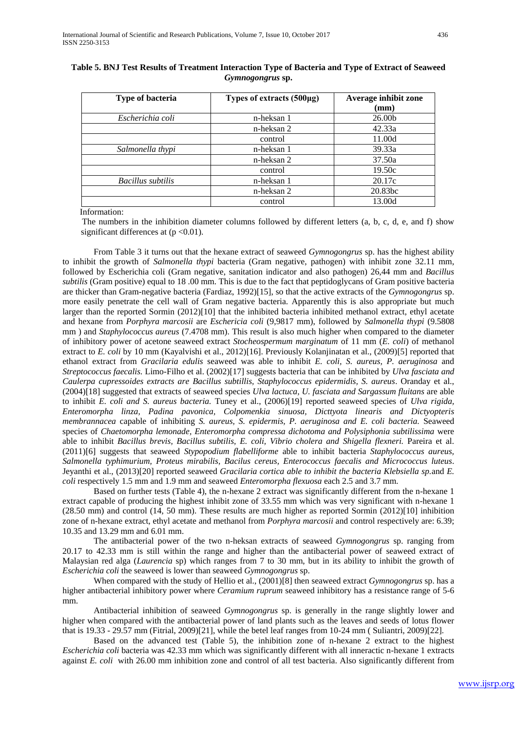| <b>Type of bacteria</b> | Types of extracts $(500\mu g)$ | Average inhibit zone<br>$(\mathbf{mm})$ |
|-------------------------|--------------------------------|-----------------------------------------|
| Escherichia coli        | n-heksan 1                     | 26.00b                                  |
|                         | n-heksan 2                     | 42.33a                                  |
|                         | control                        | 11.00d                                  |
| Salmonella thypi        | n-heksan 1                     | 39.33a                                  |
|                         | n-heksan 2                     | 37.50a                                  |
|                         | control                        | 19.50c                                  |
| Bacillus subtilis       | n-heksan 1                     | 20.17c                                  |
|                         | n-heksan 2                     | 20.83bc                                 |
|                         | control                        | 13.00d                                  |

## **Table 5. BNJ Test Results of Treatment Interaction Type of Bacteria and Type of Extract of Seaweed**  *Gymnogongrus* **sp.**

Information:

 The numbers in the inhibition diameter columns followed by different letters (a, b, c, d, e, and f) show significant differences at  $(p < 0.01)$ .

From Table 3 it turns out that the hexane extract of seaweed *Gymnogongrus* sp. has the highest ability to inhibit the growth of *Salmonella thypi* bacteria (Gram negative, pathogen) with inhibit zone 32.11 mm, followed by Escherichia coli (Gram negative, sanitation indicator and also pathogen) 26,44 mm and *Bacillus subtilis* (Gram positive) equal to 18 .00 mm. This is due to the fact that peptidoglycans of Gram positive bacteria are thicker than Gram-negative bacteria (Fardiaz, 1992)[15], so that the active extracts of the *Gymnogongrus* sp. more easily penetrate the cell wall of Gram negative bacteria. Apparently this is also appropriate but much larger than the reported Sormin (2012)[10] that the inhibited bacteria inhibited methanol extract, ethyl acetate and hexane from *Porphyra marcosii* are *Eschericia coli* (9,9817 mm), followed by *Salmonella thypi* (9.5808 mm ) and *Staphylococcus aureus* (7.4708 mm). This result is also much higher when compared to the diameter of inhibitory power of acetone seaweed extract *Stocheospermum marginatum* of 11 mm (*E. coli*) of methanol extract to *E. coli* by 10 mm (Kayalvishi et al., 2012)[16]. Previously Kolanjinatan et al., (2009)[5] reported that ethanol extract from *Gracilaria edulis* seaweed was able to inhibit *E. coli, S. aureus, P. aeruginosa* and *Streptococcus faecalis.* Limo-Filho et al. (2002)[17] suggests bacteria that can be inhibited by *Ulva fasciata and Caulerpa cupressoides extracts are Bacillus subtillis, Staphylococcus epidermidis, S. aureus*. Oranday et al., (2004)[18] suggested that extracts of seaweed species *Ulva lactuca, U. fasciata and Sargassum fluitans* are able to inhibit *E. coli and S. aureus bacteria.* Tuney et al., (2006)[19] reported seaweed species of *Ulva rigida, Enteromorpha linza, Padina pavonica, Colpomenkia sinuosa, Dicttyota linearis and Dictyopteris membrannacea* capable of inhibiting *S. aureus, S. epidermis, P. aeruginosa and E. coli bacteria.* Seaweed species of *Chaetomorpha lemonade, Enteromorpha compressa dichotoma and Polysiphonia subtilissima* were able to inhibit *Bacillus brevis, Bacillus subtilis, E. coli, Vibrio cholera and Shigella flexneri.* Pareira et al. (2011)[6] suggests that seaweed *Stypopodium flabelliforme* able to inhibit bacteria *Staphylococcus aureus, Salmonella typhimurium, Proteus mirabilis, Bacilus cereus, Enterococcus faecalis and Micrococcus luteus*. Jeyanthi et al., (2013)[20] reported seaweed *Gracilaria cortica able to inhibit the bacteria Klebsiella sp.*and *E. coli* respectively 1.5 mm and 1.9 mm and seaweed *Enteromorpha flexuosa* each 2.5 and 3.7 mm.

Based on further tests (Table 4), the n-hexane 2 extract was significantly different from the n-hexane 1 extract capable of producing the highest inhibit zone of 33.55 mm which was very significant with n-hexane 1 (28.50 mm) and control (14, 50 mm). These results are much higher as reported Sormin (2012)[10] inhibition zone of n-hexane extract, ethyl acetate and methanol from *Porphyra marcosii* and control respectively are: 6.39; 10.35 and 13.29 mm and 6.01 mm.

The antibacterial power of the two n-heksan extracts of seaweed *Gymnogongrus* sp. ranging from 20.17 to 42.33 mm is still within the range and higher than the antibacterial power of seaweed extract of Malaysian red alga (*Laurencia* sp) which ranges from 7 to 30 mm, but in its ability to inhibit the growth of *Escherichia coli* the seaweed is lower than seaweed *Gymnogongrus* sp.

When compared with the study of Hellio et al., (2001)[8] then seaweed extract *Gymnogongrus* sp. has a higher antibacterial inhibitory power where *Ceramium ruprum* seaweed inhibitory has a resistance range of 5-6 mm.

Antibacterial inhibition of seaweed *Gymnogongrus* sp. is generally in the range slightly lower and higher when compared with the antibacterial power of land plants such as the leaves and seeds of lotus flower that is 19.33 - 29.57 mm (Fitrial, 2009)[21], while the betel leaf ranges from 10-24 mm ( Suliantri, 2009)[22].

Based on the advanced test (Table 5), the inhibition zone of n-hexane 2 extract to the highest *Escherichia coli* bacteria was 42.33 mm which was significantly different with all inneractic n-hexane 1 extracts against *E. coli* with 26.00 mm inhibition zone and control of all test bacteria. Also significantly different from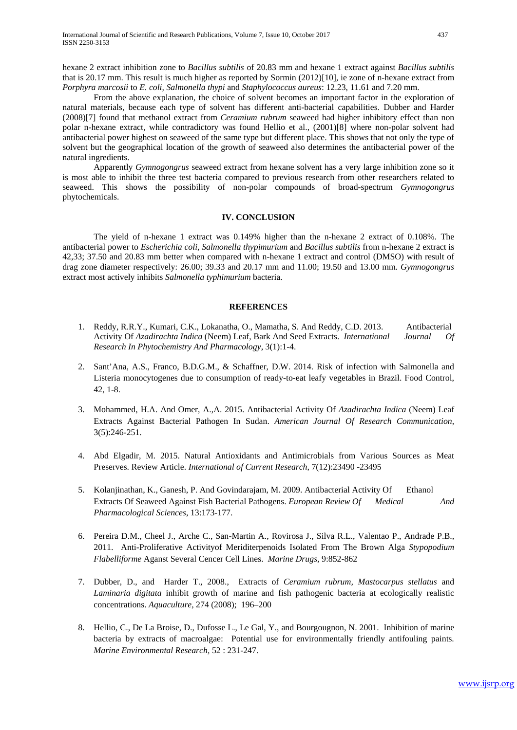hexane 2 extract inhibition zone to *Bacillus subtilis* of 20.83 mm and hexane 1 extract against *Bacillus subtilis* that is 20.17 mm. This result is much higher as reported by Sormin (2012)[10], ie zone of n-hexane extract from *Porphyra marcosii* to *E. coli, Salmonella thypi* and *Staphylococcus aureus*: 12.23, 11.61 and 7.20 mm.

From the above explanation, the choice of solvent becomes an important factor in the exploration of natural materials, because each type of solvent has different anti-bacterial capabilities. Dubber and Harder (2008)[7] found that methanol extract from *Ceramium rubrum* seaweed had higher inhibitory effect than non polar n-hexane extract, while contradictory was found Hellio et al., (2001)[8] where non-polar solvent had antibacterial power highest on seaweed of the same type but different place. This shows that not only the type of solvent but the geographical location of the growth of seaweed also determines the antibacterial power of the natural ingredients.

Apparently *Gymnogongrus* seaweed extract from hexane solvent has a very large inhibition zone so it is most able to inhibit the three test bacteria compared to previous research from other researchers related to seaweed. This shows the possibility of non-polar compounds of broad-spectrum *Gymnogongrus* phytochemicals.

## **IV. CONCLUSION**

The yield of n-hexane 1 extract was 0.149% higher than the n-hexane 2 extract of 0.108%. The antibacterial power to *Escherichia coli, Salmonella thypimurium* and *Bacillus subtilis* from n-hexane 2 extract is 42,33; 37.50 and 20.83 mm better when compared with n-hexane 1 extract and control (DMSO) with result of drag zone diameter respectively: 26.00; 39.33 and 20.17 mm and 11.00; 19.50 and 13.00 mm. *Gymnogongrus* extract most actively inhibits *Salmonella typhimurium* bacteria.

#### **REFERENCES**

- 1. Reddy, R.R.Y., Kumari, C.K., Lokanatha, O., Mamatha, S. And Reddy, C.D. 2013. Antibacterial Activity Of *Azadirachta Indica* (Neem) Leaf, Bark And Seed Extracts. *International Journal Of Research In Phytochemistry And Pharmacology*, 3(1):1-4.
- 2. Sant'Ana, A.S., Franco, B.D.G.M., & Schaffner, D.W. 2014. Risk of infection with Salmonella and Listeria monocytogenes due to consumption of ready-to-eat leafy vegetables in Brazil. Food Control, 42, 1-8.
- 3. Mohammed, H.A. And Omer, A.,A. 2015. Antibacterial Activity Of *Azadirachta Indica* (Neem) Leaf Extracts Against Bacterial Pathogen In Sudan. *American Journal Of Research Communication*, 3(5):246-251.
- 4. Abd Elgadir, M. 2015. Natural Antioxidants and Antimicrobials from Various Sources as Meat Preserves. Review Article. *International of Current Research*, 7(12):23490 -23495
- 5. Kolanjinathan, K., Ganesh, P. And Govindarajam, M. 2009. Antibacterial Activity Of Ethanol Extracts Of Seaweed Against Fish Bacterial Pathogens. *European Review Of Medical And Pharmacological Sciences*, 13:173-177.
- 6. Pereira D.M., Cheel J., Arche C., San-Martin A., Rovirosa J., Silva R.L., Valentao P., Andrade P.B., 2011. Anti-Proliferative Activityof Meriditerpenoids Isolated From The Brown Alga *Stypopodium Flabelliforme* Aganst Several Cencer Cell Lines. *Marine Drugs,* 9:852-862
- 7. Dubber, D., and Harder T., 2008., Extracts of *Ceramium rubrum, Mastocarpus stellatus* and *Laminaria digitata* inhibit growth of marine and fish pathogenic bacteria at ecologically realistic concentrations. *Aquaculture,* 274 (2008); 196–200
- 8. Hellio, C., De La Broise, D., Dufosse L., Le Gal, Y., and Bourgougnon, N. 2001. Inhibition of marine bacteria by extracts of macroalgae: Potential use for environmentally friendly antifouling paints. *Marine Environmental Research,* 52 : 231-247.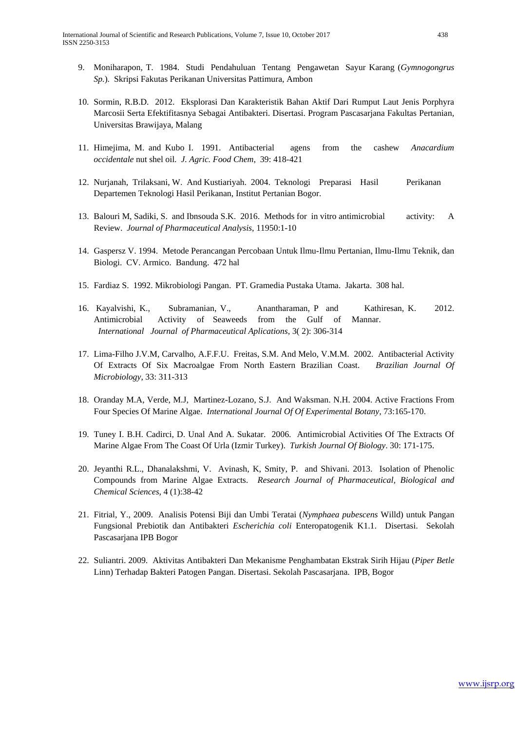- 9. Moniharapon, T. 1984. Studi Pendahuluan Tentang Pengawetan Sayur Karang (*Gymnogongrus Sp.*). Skripsi Fakutas Perikanan Universitas Pattimura, Ambon
- 10. Sormin, R.B.D. 2012. Eksplorasi Dan Karakteristik Bahan Aktif Dari Rumput Laut Jenis Porphyra Marcosii Serta Efektifitasnya Sebagai Antibakteri. Disertasi. Program Pascasarjana Fakultas Pertanian, Universitas Brawijaya, Malang
- 11. Himejima, M. and Kubo I. 1991. Antibacterial agens from the cashew *Anacardium occidentale* nut shel oil. *J. Agric. Food Chem*, 39: 418-421
- 12. Nurjanah, Trilaksani, W. And Kustiariyah. 2004. Teknologi Preparasi Hasil Perikanan Departemen Teknologi Hasil Perikanan, Institut Pertanian Bogor.
- 13. Balouri M, Sadiki, S. and Ibnsouda S.K. 2016. Methods for in vitro antimicrobial activity: A Review. *Journal of Pharmaceutical Analysis*, 11950:1-10
- 14. Gaspersz V. 1994. Metode Perancangan Percobaan Untuk Ilmu-Ilmu Pertanian, Ilmu-Ilmu Teknik, dan Biologi. CV. Armico. Bandung. 472 hal
- 15. Fardiaz S. 1992. Mikrobiologi Pangan. PT. Gramedia Pustaka Utama. Jakarta. 308 hal.
- 16. Kayalvishi, K., Subramanian, V., Anantharaman, P and Kathiresan, K. 2012. Antimicrobial Activity of Seaweeds from the Gulf of Mannar. *International Journal of Pharmaceutical Aplications*, 3( 2): 306-314
- 17. Lima-Filho J.V.M, Carvalho, A.F.F.U. Freitas, S.M. And Melo, V.M.M. 2002. Antibacterial Activity Of Extracts Of Six Macroalgae From North Eastern Brazilian Coast. *Brazilian Journal Of Microbiology*, 33: 311-313
- 18. Oranday M.A, Verde, M.J, Martinez-Lozano, S.J. And Waksman. N.H. 2004. Active Fractions From Four Species Of Marine Algae. *International Journal Of Of Experimental Botany,* 73:165-170.
- 19. Tuney I. B.H. Cadirci, D. Unal And A. Sukatar. 2006. Antimicrobial Activities Of The Extracts Of Marine Algae From The Coast Of Urla (Izmir Turkey). *Turkish Journal Of Biology*. 30: 171-175.
- 20. Jeyanthi R.L., Dhanalakshmi, V. Avinash, K, Smity, P. and Shivani. 2013. Isolation of Phenolic Compounds from Marine Algae Extracts. *Research Journal of Pharmaceutical, Biological and Chemical Sciences*, 4 (1):38-42
- 21. Fitrial, Y., 2009. Analisis Potensi Biji dan Umbi Teratai (*Nymphaea pubescens* Willd) untuk Pangan Fungsional Prebiotik dan Antibakteri *Escherichia coli* Enteropatogenik K1.1. Disertasi. Sekolah Pascasarjana IPB Bogor
- 22. Suliantri. 2009. Aktivitas Antibakteri Dan Mekanisme Penghambatan Ekstrak Sirih Hijau (*Piper Betle* Linn) Terhadap Bakteri Patogen Pangan. Disertasi. Sekolah Pascasarjana. IPB, Bogor